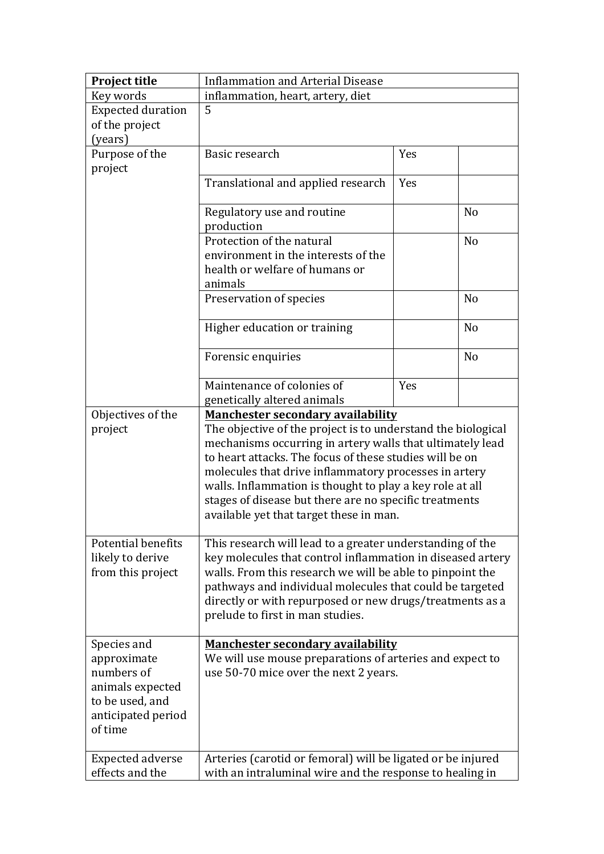| Project title                 | <b>Inflammation and Arterial Disease</b>                                                                                                                                    |     |                |  |
|-------------------------------|-----------------------------------------------------------------------------------------------------------------------------------------------------------------------------|-----|----------------|--|
| Key words                     | inflammation, heart, artery, diet                                                                                                                                           |     |                |  |
| <b>Expected duration</b>      | 5                                                                                                                                                                           |     |                |  |
| of the project                |                                                                                                                                                                             |     |                |  |
| (years)                       |                                                                                                                                                                             |     |                |  |
| Purpose of the                | Basic research                                                                                                                                                              | Yes |                |  |
| project                       |                                                                                                                                                                             |     |                |  |
|                               | Translational and applied research                                                                                                                                          | Yes |                |  |
|                               |                                                                                                                                                                             |     |                |  |
|                               | Regulatory use and routine                                                                                                                                                  |     | N <sub>o</sub> |  |
|                               | production                                                                                                                                                                  |     |                |  |
|                               | Protection of the natural                                                                                                                                                   |     | N <sub>o</sub> |  |
|                               | environment in the interests of the                                                                                                                                         |     |                |  |
|                               | health or welfare of humans or                                                                                                                                              |     |                |  |
|                               | animals                                                                                                                                                                     |     |                |  |
|                               | Preservation of species                                                                                                                                                     |     | N <sub>o</sub> |  |
|                               |                                                                                                                                                                             |     |                |  |
|                               | Higher education or training                                                                                                                                                |     | N <sub>o</sub> |  |
|                               |                                                                                                                                                                             |     |                |  |
|                               | Forensic enquiries                                                                                                                                                          |     | N <sub>o</sub> |  |
|                               |                                                                                                                                                                             |     |                |  |
|                               | Maintenance of colonies of                                                                                                                                                  | Yes |                |  |
|                               | genetically altered animals                                                                                                                                                 |     |                |  |
| Objectives of the             | <b>Manchester secondary availability</b>                                                                                                                                    |     |                |  |
| project                       | The objective of the project is to understand the biological                                                                                                                |     |                |  |
|                               | mechanisms occurring in artery walls that ultimately lead                                                                                                                   |     |                |  |
|                               | to heart attacks. The focus of these studies will be on                                                                                                                     |     |                |  |
|                               | molecules that drive inflammatory processes in artery<br>walls. Inflammation is thought to play a key role at all<br>stages of disease but there are no specific treatments |     |                |  |
|                               |                                                                                                                                                                             |     |                |  |
|                               |                                                                                                                                                                             |     |                |  |
|                               | available yet that target these in man.                                                                                                                                     |     |                |  |
|                               |                                                                                                                                                                             |     |                |  |
| <b>Potential benefits</b>     | This research will lead to a greater understanding of the                                                                                                                   |     |                |  |
| likely to derive              | key molecules that control inflammation in diseased artery<br>walls. From this research we will be able to pinpoint the                                                     |     |                |  |
| from this project             |                                                                                                                                                                             |     |                |  |
|                               | pathways and individual molecules that could be targeted                                                                                                                    |     |                |  |
|                               | directly or with repurposed or new drugs/treatments as a                                                                                                                    |     |                |  |
|                               | prelude to first in man studies.                                                                                                                                            |     |                |  |
|                               |                                                                                                                                                                             |     |                |  |
| Species and                   | <b>Manchester secondary availability</b>                                                                                                                                    |     |                |  |
| approximate<br>numbers of     | We will use mouse preparations of arteries and expect to                                                                                                                    |     |                |  |
|                               | use 50-70 mice over the next 2 years.                                                                                                                                       |     |                |  |
| animals expected              |                                                                                                                                                                             |     |                |  |
| to be used, and               |                                                                                                                                                                             |     |                |  |
| anticipated period<br>of time |                                                                                                                                                                             |     |                |  |
|                               |                                                                                                                                                                             |     |                |  |
| <b>Expected adverse</b>       |                                                                                                                                                                             |     |                |  |
| effects and the               | Arteries (carotid or femoral) will be ligated or be injured<br>with an intraluminal wire and the response to healing in                                                     |     |                |  |
|                               |                                                                                                                                                                             |     |                |  |